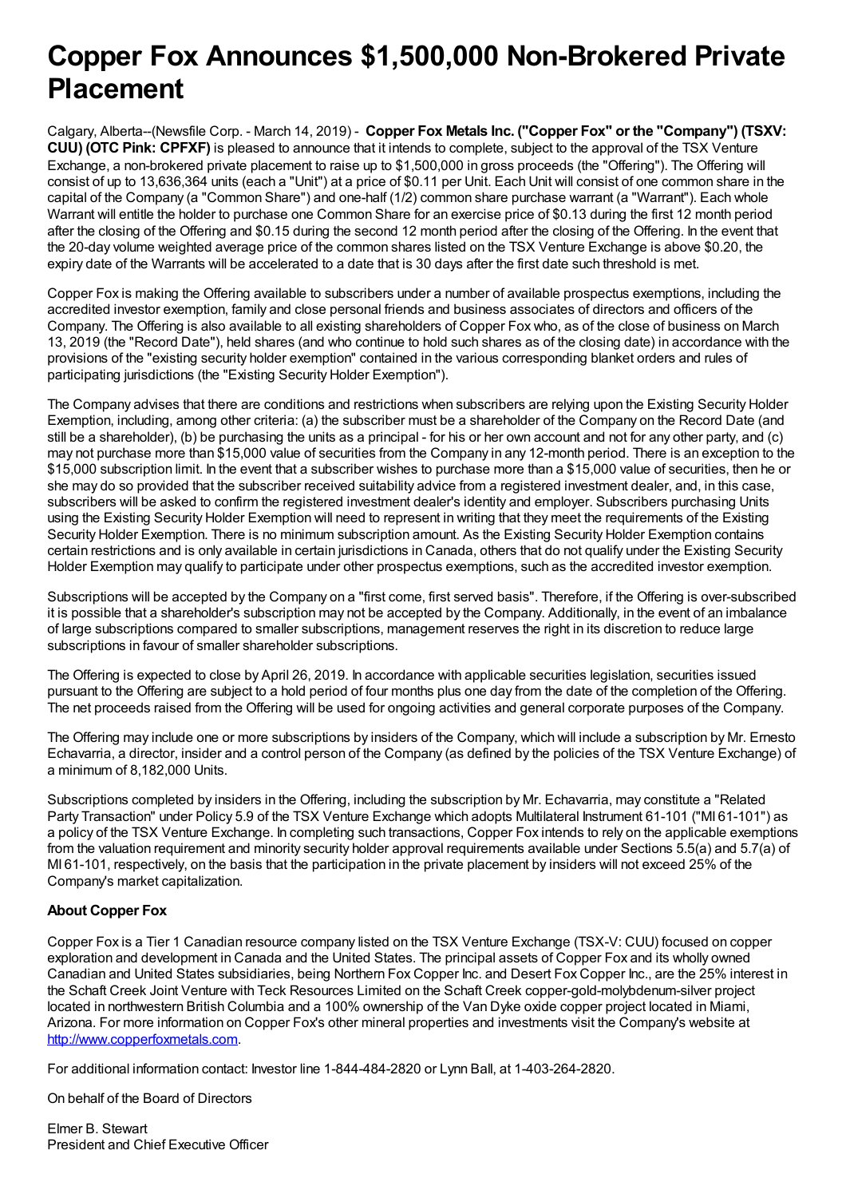## **Copper Fox Announces \$1,500,000 Non-Brokered Private Placement**

Calgary, Alberta--(Newsfile Corp. - March 14, 2019) - **Copper Fox Metals Inc. ("Copper Fox" or the "Company") (TSXV: CUU) (OTC Pink: CPFXF)** is pleased to announce that it intends to complete, subject to the approval of the TSX Venture Exchange, a non-brokered private placement to raise up to \$1,500,000 in gross proceeds (the "Offering"). The Offering will consist of up to 13,636,364 units (each a "Unit") at a price of \$0.11 per Unit. Each Unit will consist of one common share in the capital of the Company (a "Common Share") and one-half (1/2) common share purchase warrant (a "Warrant"). Each whole Warrant will entitle the holder to purchase one Common Share for an exercise price of \$0.13 during the first 12 month period after the closing of the Offering and \$0.15 during the second 12 month period after the closing of the Offering. In the event that the 20-day volume weighted average price of the common shares listed on the TSX Venture Exchange is above \$0.20, the expiry date of the Warrants will be accelerated to a date that is 30 days after the first date such threshold is met.

Copper Fox is making the Offering available to subscribers under a number of available prospectus exemptions, including the accredited investor exemption, family and close personal friends and business associates of directors and officers of the Company. The Offering is also available to all existing shareholders of Copper Fox who, as of the close of business on March 13, 2019 (the "Record Date"), held shares (and who continue to hold such shares as of the closing date) in accordance with the provisions of the "existing security holder exemption" contained in the various corresponding blanket orders and rules of participating jurisdictions (the "Existing Security Holder Exemption").

The Company advises that there are conditions and restrictions when subscribers are relying upon the Existing Security Holder Exemption, including, among other criteria: (a) the subscriber must be a shareholder of the Company on the Record Date (and still be a shareholder), (b) be purchasing the units as a principal - for his or her own account and not for any other party, and (c) may not purchase more than \$15,000 value of securities from the Company in any 12-month period. There is an exception to the \$15,000 subscription limit. In the event that a subscriber wishes to purchase more than a \$15,000 value of securities, then he or she may do so provided that the subscriber received suitability advice from a registered investment dealer, and, in this case, subscribers will be asked to confirm the registered investment dealer's identity and employer. Subscribers purchasing Units using the Existing Security Holder Exemption will need to represent in writing that they meet the requirements of the Existing Security Holder Exemption. There is no minimum subscription amount. As the Existing Security Holder Exemption contains certain restrictions and is only available in certain jurisdictions in Canada, others that do not qualify under the Existing Security Holder Exemption may qualify to participate under other prospectus exemptions, such as the accredited investor exemption.

Subscriptions will be accepted by the Company on a "first come, first served basis". Therefore, if the Offering is over-subscribed it is possible that a shareholder's subscription may not be accepted by the Company. Additionally, in the event of an imbalance of large subscriptions compared to smaller subscriptions, management reserves the right in its discretion to reduce large subscriptions in favour of smaller shareholder subscriptions.

The Offering is expected to close by April 26, 2019. In accordance with applicable securities legislation, securities issued pursuant to the Offering are subject to a hold period of four months plus one day from the date of the completion of the Offering. The net proceeds raised from the Offering will be used for ongoing activities and general corporate purposes of the Company.

The Offering may include one or more subscriptions by insiders of the Company, which will include a subscription by Mr. Ernesto Echavarria, a director, insider and a control person of the Company (as defined by the policies of the TSX Venture Exchange) of a minimum of 8,182,000 Units.

Subscriptions completed by insiders in the Offering, including the subscription by Mr. Echavarria, may constitute a "Related Party Transaction" under Policy 5.9 of the TSX Venture Exchange which adopts Multilateral Instrument 61-101 ("MI 61-101") as a policy of the TSX Venture Exchange. In completing such transactions, Copper Fox intends to rely on the applicable exemptions from the valuation requirement and minority security holder approval requirements available under Sections 5.5(a) and 5.7(a) of MI 61-101, respectively, on the basis that the participation in the private placement by insiders will not exceed 25% of the Company's market capitalization.

## **About Copper Fox**

Copper Fox is a Tier 1 Canadian resource company listed on the TSX Venture Exchange (TSX-V: CUU) focused on copper exploration and development in Canada and the United States. The principal assets of Copper Fox and its wholly owned Canadian and United States subsidiaries, being Northern Fox Copper Inc. and Desert Fox Copper Inc., are the 25% interest in the Schaft Creek Joint Venture with Teck Resources Limited on the Schaft Creek copper-gold-molybdenum-silver project located in northwestern British Columbia and a 100% ownership of the Van Dyke oxide copper project located in Miami, Arizona. For more information on Copper Fox's other mineral properties and investments visit the Company's website at [http://www.copperfoxmetals.com](https://www.newsfilecorp.com/redirect/mPNeS8AJ).

For additional information contact: Investor line 1-844-484-2820 or Lynn Ball, at 1-403-264-2820.

On behalf of the Board of Directors

Elmer B. Stewart President and Chief Executive Officer